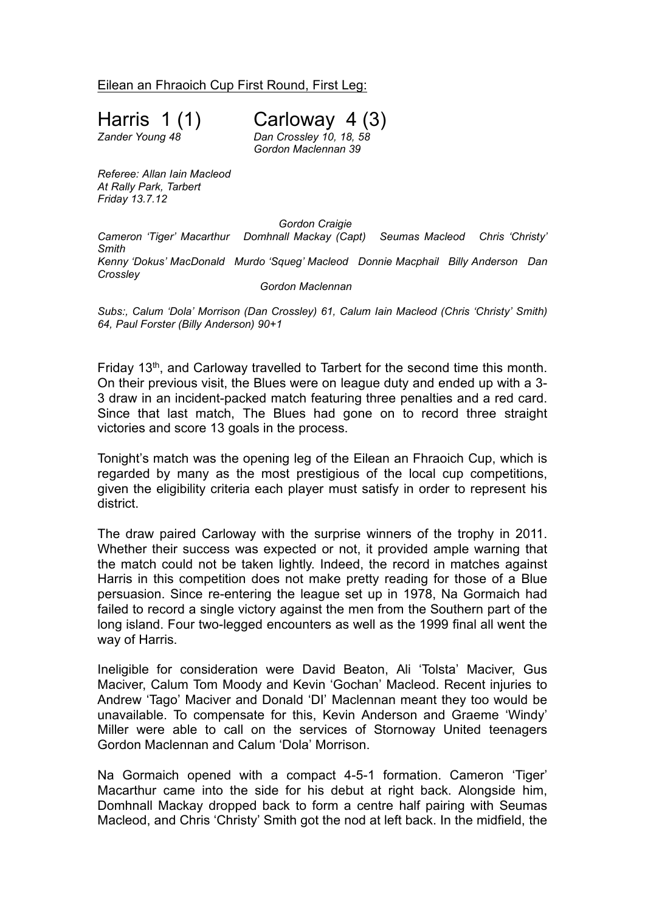Eilean an Fhraoich Cup First Round, First Leg:

Harris 1  $(1)$  Carloway 4  $(3)$ <br>
Zander Young 48 Dan Crossley 10, 18, 58 *Zander Young 48 Dan Crossley 10, 18, 58*

*Gordon Maclennan 39*

*Referee: Allan Iain Macleod At Rally Park, Tarbert Friday 13.7.12*

*Gordon Craigie*

*Cameron 'Tiger' Macarthur Domhnall Mackay (Capt) Seumas Macleod Chris 'Christy' Smith Kenny 'Dokus' MacDonald Murdo 'Squeg' Macleod Donnie Macphail Billy Anderson Dan Crossley*

*Gordon Maclennan*

*Subs:, Calum 'Dola' Morrison (Dan Crossley) 61, Calum Iain Macleod (Chris 'Christy' Smith) 64, Paul Forster (Billy Anderson) 90+1*

Friday 13<sup>th</sup>, and Carloway travelled to Tarbert for the second time this month. On their previous visit, the Blues were on league duty and ended up with a 3- 3 draw in an incident-packed match featuring three penalties and a red card. Since that last match, The Blues had gone on to record three straight victories and score 13 goals in the process.

Tonight's match was the opening leg of the Eilean an Fhraoich Cup, which is regarded by many as the most prestigious of the local cup competitions, given the eligibility criteria each player must satisfy in order to represent his district.

The draw paired Carloway with the surprise winners of the trophy in 2011. Whether their success was expected or not, it provided ample warning that the match could not be taken lightly. Indeed, the record in matches against Harris in this competition does not make pretty reading for those of a Blue persuasion. Since re-entering the league set up in 1978, Na Gormaich had failed to record a single victory against the men from the Southern part of the long island. Four two-legged encounters as well as the 1999 final all went the way of Harris.

Ineligible for consideration were David Beaton, Ali 'Tolsta' Maciver, Gus Maciver, Calum Tom Moody and Kevin 'Gochan' Macleod. Recent injuries to Andrew 'Tago' Maciver and Donald 'DI' Maclennan meant they too would be unavailable. To compensate for this, Kevin Anderson and Graeme 'Windy' Miller were able to call on the services of Stornoway United teenagers Gordon Maclennan and Calum 'Dola' Morrison.

Na Gormaich opened with a compact 4-5-1 formation. Cameron 'Tiger' Macarthur came into the side for his debut at right back. Alongside him, Domhnall Mackay dropped back to form a centre half pairing with Seumas Macleod, and Chris 'Christy' Smith got the nod at left back. In the midfield, the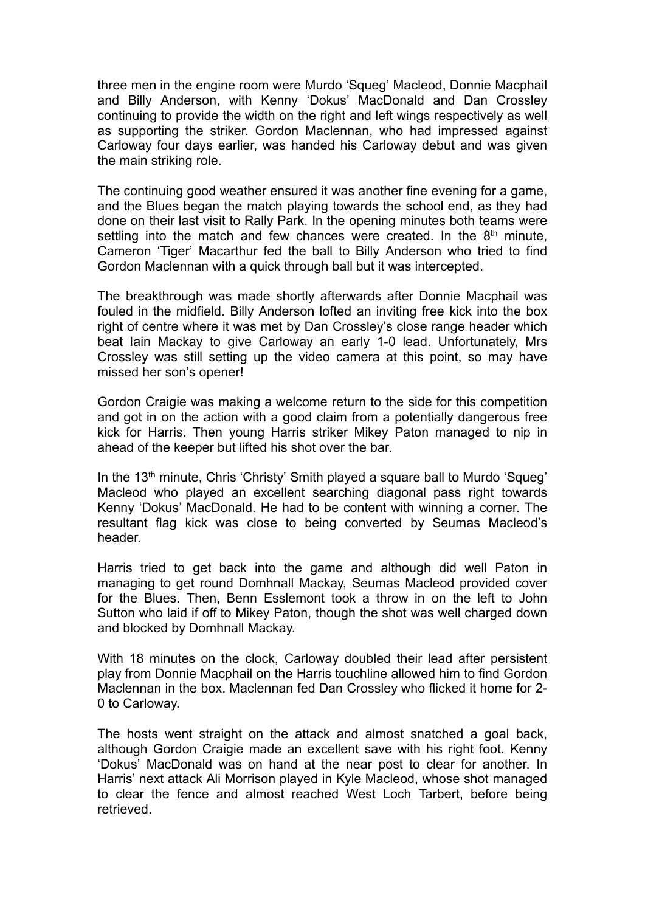three men in the engine room were Murdo 'Squeg' Macleod, Donnie Macphail and Billy Anderson, with Kenny 'Dokus' MacDonald and Dan Crossley continuing to provide the width on the right and left wings respectively as well as supporting the striker. Gordon Maclennan, who had impressed against Carloway four days earlier, was handed his Carloway debut and was given the main striking role.

The continuing good weather ensured it was another fine evening for a game, and the Blues began the match playing towards the school end, as they had done on their last visit to Rally Park. In the opening minutes both teams were settling into the match and few chances were created. In the 8<sup>th</sup> minute, Cameron 'Tiger' Macarthur fed the ball to Billy Anderson who tried to find Gordon Maclennan with a quick through ball but it was intercepted.

The breakthrough was made shortly afterwards after Donnie Macphail was fouled in the midfield. Billy Anderson lofted an inviting free kick into the box right of centre where it was met by Dan Crossley's close range header which beat Iain Mackay to give Carloway an early 1-0 lead. Unfortunately, Mrs Crossley was still setting up the video camera at this point, so may have missed her son's opener!

Gordon Craigie was making a welcome return to the side for this competition and got in on the action with a good claim from a potentially dangerous free kick for Harris. Then young Harris striker Mikey Paton managed to nip in ahead of the keeper but lifted his shot over the bar.

In the 13th minute, Chris 'Christy' Smith played a square ball to Murdo 'Squeg' Macleod who played an excellent searching diagonal pass right towards Kenny 'Dokus' MacDonald. He had to be content with winning a corner. The resultant flag kick was close to being converted by Seumas Macleod's header.

Harris tried to get back into the game and although did well Paton in managing to get round Domhnall Mackay, Seumas Macleod provided cover for the Blues. Then, Benn Esslemont took a throw in on the left to John Sutton who laid if off to Mikey Paton, though the shot was well charged down and blocked by Domhnall Mackay.

With 18 minutes on the clock, Carloway doubled their lead after persistent play from Donnie Macphail on the Harris touchline allowed him to find Gordon Maclennan in the box. Maclennan fed Dan Crossley who flicked it home for 2- 0 to Carloway.

The hosts went straight on the attack and almost snatched a goal back, although Gordon Craigie made an excellent save with his right foot. Kenny 'Dokus' MacDonald was on hand at the near post to clear for another. In Harris' next attack Ali Morrison played in Kyle Macleod, whose shot managed to clear the fence and almost reached West Loch Tarbert, before being retrieved.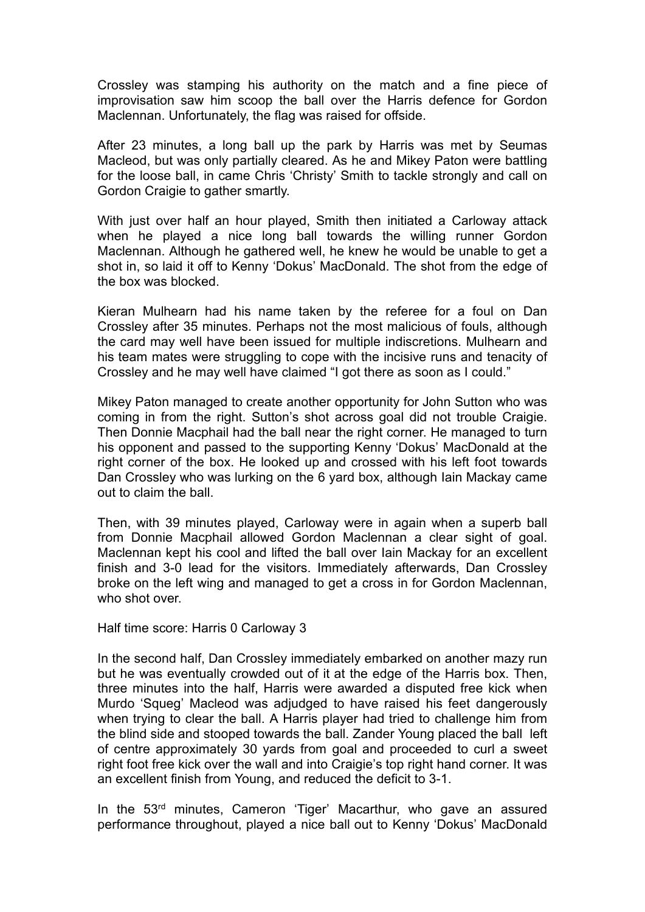Crossley was stamping his authority on the match and a fine piece of improvisation saw him scoop the ball over the Harris defence for Gordon Maclennan. Unfortunately, the flag was raised for offside.

After 23 minutes, a long ball up the park by Harris was met by Seumas Macleod, but was only partially cleared. As he and Mikey Paton were battling for the loose ball, in came Chris 'Christy' Smith to tackle strongly and call on Gordon Craigie to gather smartly.

With just over half an hour played, Smith then initiated a Carloway attack when he played a nice long ball towards the willing runner Gordon Maclennan. Although he gathered well, he knew he would be unable to get a shot in, so laid it off to Kenny 'Dokus' MacDonald. The shot from the edge of the box was blocked.

Kieran Mulhearn had his name taken by the referee for a foul on Dan Crossley after 35 minutes. Perhaps not the most malicious of fouls, although the card may well have been issued for multiple indiscretions. Mulhearn and his team mates were struggling to cope with the incisive runs and tenacity of Crossley and he may well have claimed "I got there as soon as I could."

Mikey Paton managed to create another opportunity for John Sutton who was coming in from the right. Sutton's shot across goal did not trouble Craigie. Then Donnie Macphail had the ball near the right corner. He managed to turn his opponent and passed to the supporting Kenny 'Dokus' MacDonald at the right corner of the box. He looked up and crossed with his left foot towards Dan Crossley who was lurking on the 6 yard box, although Iain Mackay came out to claim the ball.

Then, with 39 minutes played, Carloway were in again when a superb ball from Donnie Macphail allowed Gordon Maclennan a clear sight of goal. Maclennan kept his cool and lifted the ball over Iain Mackay for an excellent finish and 3-0 lead for the visitors. Immediately afterwards, Dan Crossley broke on the left wing and managed to get a cross in for Gordon Maclennan, who shot over.

Half time score: Harris 0 Carloway 3

In the second half, Dan Crossley immediately embarked on another mazy run but he was eventually crowded out of it at the edge of the Harris box. Then, three minutes into the half, Harris were awarded a disputed free kick when Murdo 'Squeg' Macleod was adjudged to have raised his feet dangerously when trying to clear the ball. A Harris player had tried to challenge him from the blind side and stooped towards the ball. Zander Young placed the ball left of centre approximately 30 yards from goal and proceeded to curl a sweet right foot free kick over the wall and into Craigie's top right hand corner. It was an excellent finish from Young, and reduced the deficit to 3-1.

In the 53rd minutes, Cameron 'Tiger' Macarthur, who gave an assured performance throughout, played a nice ball out to Kenny 'Dokus' MacDonald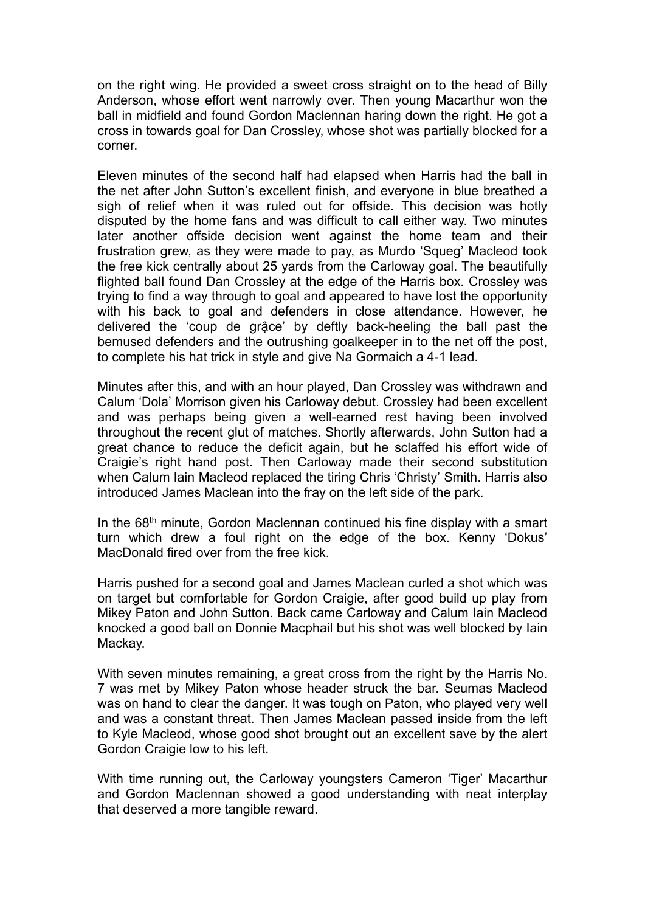on the right wing. He provided a sweet cross straight on to the head of Billy Anderson, whose effort went narrowly over. Then young Macarthur won the ball in midfield and found Gordon Maclennan haring down the right. He got a cross in towards goal for Dan Crossley, whose shot was partially blocked for a corner.

Eleven minutes of the second half had elapsed when Harris had the ball in the net after John Sutton's excellent finish, and everyone in blue breathed a sigh of relief when it was ruled out for offside. This decision was hotly disputed by the home fans and was difficult to call either way. Two minutes later another offside decision went against the home team and their frustration grew, as they were made to pay, as Murdo 'Squeg' Macleod took the free kick centrally about 25 yards from the Carloway goal. The beautifully flighted ball found Dan Crossley at the edge of the Harris box. Crossley was trying to find a way through to goal and appeared to have lost the opportunity with his back to goal and defenders in close attendance. However, he delivered the 'coup de grậce' by deftly back-heeling the ball past the bemused defenders and the outrushing goalkeeper in to the net off the post, to complete his hat trick in style and give Na Gormaich a 4-1 lead.

Minutes after this, and with an hour played, Dan Crossley was withdrawn and Calum 'Dola' Morrison given his Carloway debut. Crossley had been excellent and was perhaps being given a well-earned rest having been involved throughout the recent glut of matches. Shortly afterwards, John Sutton had a great chance to reduce the deficit again, but he sclaffed his effort wide of Craigie's right hand post. Then Carloway made their second substitution when Calum Iain Macleod replaced the tiring Chris 'Christy' Smith. Harris also introduced James Maclean into the fray on the left side of the park.

In the 68<sup>th</sup> minute, Gordon Maclennan continued his fine display with a smart turn which drew a foul right on the edge of the box. Kenny 'Dokus' MacDonald fired over from the free kick.

Harris pushed for a second goal and James Maclean curled a shot which was on target but comfortable for Gordon Craigie, after good build up play from Mikey Paton and John Sutton. Back came Carloway and Calum Iain Macleod knocked a good ball on Donnie Macphail but his shot was well blocked by Iain Mackay.

With seven minutes remaining, a great cross from the right by the Harris No. 7 was met by Mikey Paton whose header struck the bar. Seumas Macleod was on hand to clear the danger. It was tough on Paton, who played very well and was a constant threat. Then James Maclean passed inside from the left to Kyle Macleod, whose good shot brought out an excellent save by the alert Gordon Craigie low to his left.

With time running out, the Carloway youngsters Cameron 'Tiger' Macarthur and Gordon Maclennan showed a good understanding with neat interplay that deserved a more tangible reward.